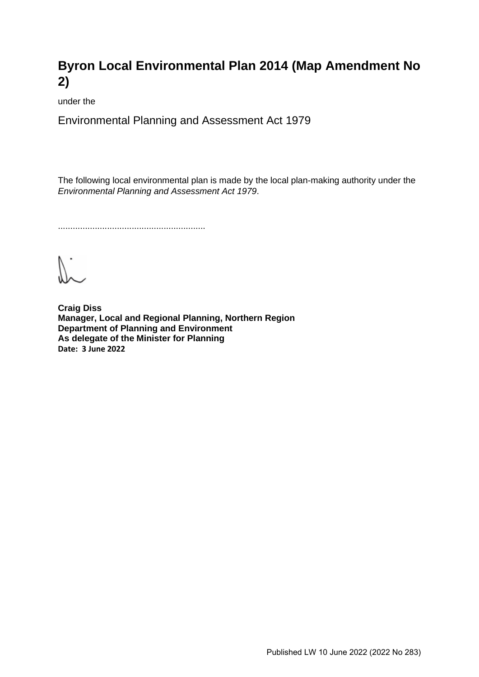# **Byron Local Environmental Plan 2014 (Map Amendment No 2)**

under the

Environmental Planning and Assessment Act 1979

The following local environmental plan is made by the local plan-making authority under the *Environmental Planning and Assessment Act 1979*.

............................................................

 $V_{\cdot}$ 

**Craig Diss Manager, Local and Regional Planning, Northern Region Department of Planning and Environment As delegate of the Minister for Planning Date: 3 June 2022**